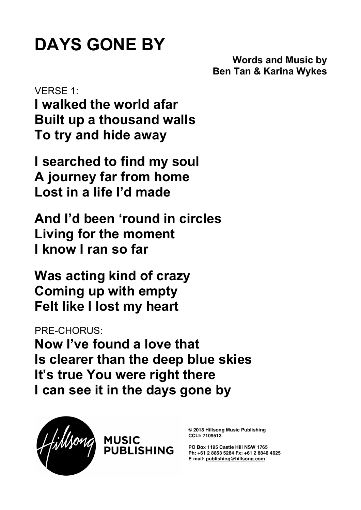## **DAYS GONE BY**

**Words and Music by Ben Tan & Karina Wykes**

VERSE 1: **I walked the world afar Built up a thousand walls To try and hide away**

**I searched to find my soul A journey far from home Lost in a life I'd made**

**And I'd been 'round in circles Living for the moment I know I ran so far**

**Was acting kind of crazy Coming up with empty Felt like I lost my heart**

PRE-CHORUS:

**Now I've found a love that Is clearer than the deep blue skies It's true You were right there I can see it in the days gone by**



**© 2018 Hillsong Music Publishing CCLI: 7109513**

**PO Box 1195 Castle Hill NSW 1765 Ph: +61 2 8853 5284 Fx: +61 2 8846 4625 E-mail: publishing@hillsong.com**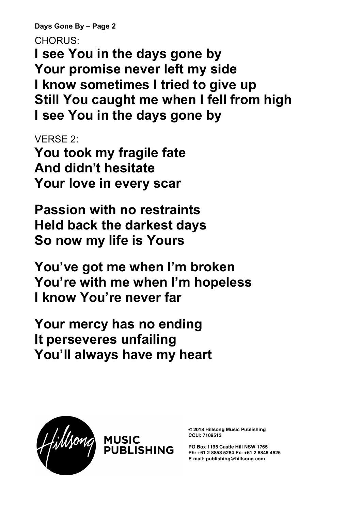**Days Gone By – Page 2**

CHORUS:

**I see You in the days gone by Your promise never left my side I know sometimes I tried to give up Still You caught me when I fell from high I see You in the days gone by**

VERSE 2:

**You took my fragile fate And didn't hesitate Your love in every scar**

**Passion with no restraints Held back the darkest days So now my life is Yours**

**You've got me when I'm broken You're with me when I'm hopeless I know You're never far**

**Your mercy has no ending It perseveres unfailing You'll always have my heart**



**© 2018 Hillsong Music Publishing CCLI: 7109513**

**PO Box 1195 Castle Hill NSW 1765 Ph: +61 2 8853 5284 Fx: +61 2 8846 4625 E-mail: publishing@hillsong.com**